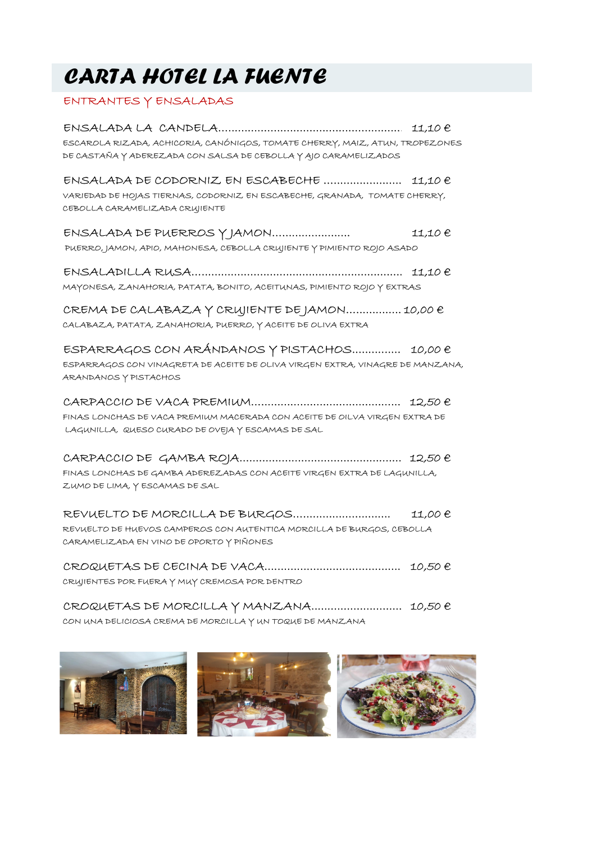## CARTA HOTEL LA FUENTE

## ENTRANTES Y ENSALADAS

| CARTA HOTEL LA FUENTE                                                                                                                                                                                     |         |
|-----------------------------------------------------------------------------------------------------------------------------------------------------------------------------------------------------------|---------|
| ENTRANTES Y ENSALADAS                                                                                                                                                                                     |         |
| $ENSALADA LA CANDELA$ $$ $$ $$ $$ $$ $$ $$ $11,10 \in$<br>ESCAROLA RIZADA, ACHICORIA, CANÓNIGOS, TOMATE CHERRY, MAIZ, ATUN, TROPEZONES<br>DE CASTAÑA Y ADEREZADA CON SALSA DE CEBOLLA Y AJO CARAMELIZADOS |         |
| VARIEDAD DE HOJAS TIERNAS, CODORNIZ EN ESCABECHE, GRANADA, TOMATE CHERRY,<br>CEBOLLA CARAMELIZADA CRUJIENTE                                                                                               |         |
| ENSALADA DE PUERROS Y JAMON<br>PUERRO, JAMON, APIO, MAHONESA, CEBOLLA CRUJIENTE Y PIMIENTO ROJO ASADO                                                                                                     | 11,10 € |
| $ENSALAPILLA RUSA .11,10 &$<br>MAYONESA, ZANAHORIA, PATATA, BONITO, ACEITUNAS, PIMIENTO ROJO Y EXTRAS                                                                                                     |         |
| CREMA DE CALABAZA Y CRUJIENTE DE JAMON 10,00 $\epsilon$<br>CALABAZA, PATATA, ZANAHORIA, PUERRO, Y ACEITE DE OLIVA EXTRA                                                                                   |         |
| $ESPARRAGOS CON ARÁNDANOS Y PISTACHOS$ 10,00 €<br>ESPARRAGOS CON VINAGRETA DE ACEITE DE OLIVA VIRGEN EXTRA, VINAGRE DE MANZANA,<br>ARANDANOS Y PISTACHOS                                                  |         |
| FINAS LONCHAS DE VACA PREMIUM MACERADA CON ACEITE DE OILVA VIRGEN EXTRA DE<br>LAGUNILLA, QUESO CURADO DE OVEJA Y ESCAMAS DE SAL                                                                           |         |
| FINAS LONCHAS DE GAMBA ADEREZADAS CON ACEITE VIRGEN EXTRA DE LAGUNILLA,<br>ZUMO DE LIMA, Y ESCAMAS DE SAL                                                                                                 |         |
| REVUELTO DE MORCILLA DE BURGOS<br>REVUELTO DE HUEVOS CAMPEROS CON AUTENTICA MORCILLA DE BURGOS, CEBOLLA<br>CARAMELIZADA EN VINO DE OPORTO Y PIÑONES                                                       | 11,00 € |
| CRUJIENTES POR FUERA Y MUY CREMOSA POR DENTRO                                                                                                                                                             |         |
| CROQUETAS DE MORCILLA Y MANZANA 10,50 $\epsilon$<br>CON UNA DELICIOSA CREMA DE MORCILLA Y UN TOQUE DE MANZANA                                                                                             |         |

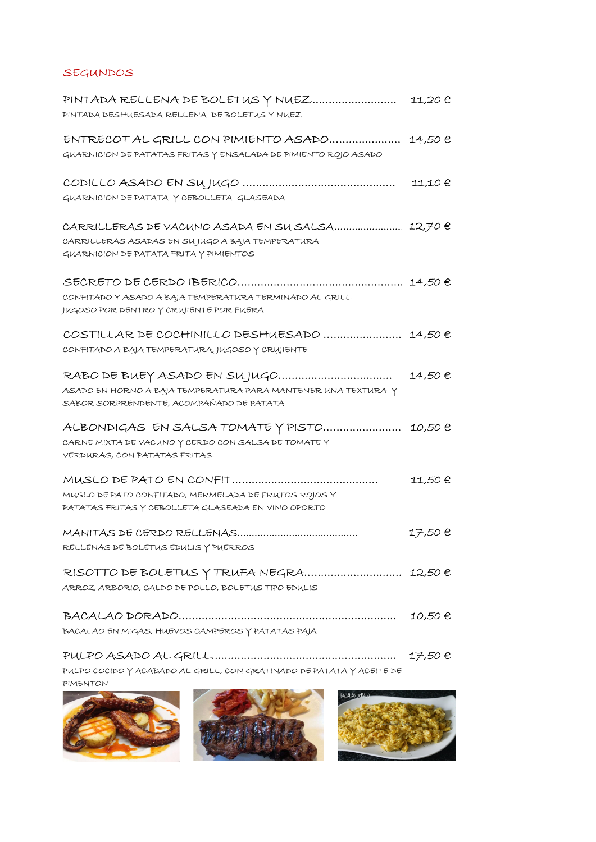## SEGUNDOS

| SEGUNDOS                                                                                                                                            |         |
|-----------------------------------------------------------------------------------------------------------------------------------------------------|---------|
| PINTADA RELLENA DE BOLETUS Y NUEZ 11,20 $e$<br>PINTADA DESHUESADA RELLENA DE BOLETUS Y NUEZ                                                         |         |
| $ENTRECOTAL GRILL CON PIMIENTO ASADO$ 14,50 $\theta$<br>GUARNICION DE PATATAS FRITAS Y ENSALADA DE PIMIENTO ROJO ASADO                              |         |
| GUARNICION DE PATATA Y CEBOLLETA GLASEADA                                                                                                           |         |
| CARRILLERAS DE VACUNO ASADA EN SU SALSA 12,70 $\theta$<br>CARRILLERAS ASADAS EN SUJUGO A BAJA TEMPERATURA<br>GUARNICION DE PATATA FRITA Y PIMIENTOS |         |
| CONFITADO Y ASADO A BAJA TEMPERATURA TERMINADO AL GRILL<br>JUGOSO POR DENTRO Y CRUJIENTE POR FUERA                                                  |         |
| COSTILLAR DE COCHINILLO DESHUESADO  14,50 €<br>CONFITADO A BAJA TEMPERATURA, JUGOSO Y CRUJIENTE                                                     |         |
| ASADO EN HORNO A BAJA TEMPERATURA PARA MANTENER UNA TEXTURA Y<br>SABOR SORPRENDENTE, ACOMPAÑADO DE PATATA                                           |         |
| ALBONDIGAS EN SALSA TOMATE Y PISTO  10,50 $\epsilon$<br>CARNE MIXTA DE VACUNO Y CERDO CON SALSA DE TOMATE Y<br>VERDURAS, CON PATATAS FRITAS.        |         |
| MUSLO DE PATO CONFITADO, MERMELADA DE FRUTOS ROJOS Y<br>PATATAS FRITAS Y CEBOLLETA GLASEADA EN VINO OPORTO                                          | 11,50 € |
| RELLENAS DE BOLETUS EDULIS Y PUERROS                                                                                                                | 17,50€  |
| RISOTTO DE BOLETUS Y TRUFA NEGRA  12,50 $\epsilon$<br>ARROZ ARBORIO, CALDO DE POLLO, BOLETUS TIPO EDULIS                                            |         |
| BACALAO EN MIGAS, HUEVOS CAMPEROS Y PATATAS PAJA                                                                                                    |         |
| PULPO COCIDO Y ACABADO AL GRILL, CON GRATINADO DE PATATA Y ACEITE DE<br>PIMENTON                                                                    |         |